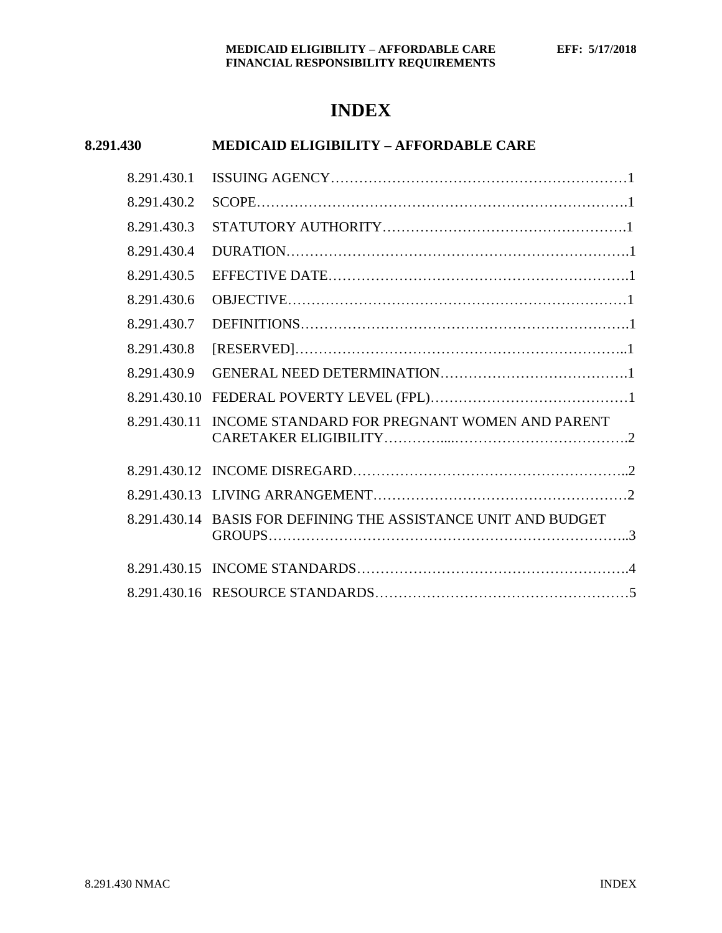# **INDEX**

# **8.291.430 MEDICAID ELIGIBILITY – AFFORDABLE CARE**

| 8.291.430.1  |                                                                |  |
|--------------|----------------------------------------------------------------|--|
| 8.291.430.2  |                                                                |  |
| 8.291.430.3  |                                                                |  |
| 8.291.430.4  |                                                                |  |
| 8.291.430.5  |                                                                |  |
| 8.291.430.6  |                                                                |  |
| 8.291.430.7  |                                                                |  |
| 8.291.430.8  | $[RESERVED] \dots 1$                                           |  |
| 8.291.430.9  |                                                                |  |
|              |                                                                |  |
| 8.291.430.11 | INCOME STANDARD FOR PREGNANT WOMEN AND PARENT                  |  |
|              |                                                                |  |
|              |                                                                |  |
|              | 8.291.430.14 BASIS FOR DEFINING THE ASSISTANCE UNIT AND BUDGET |  |
|              |                                                                |  |
|              |                                                                |  |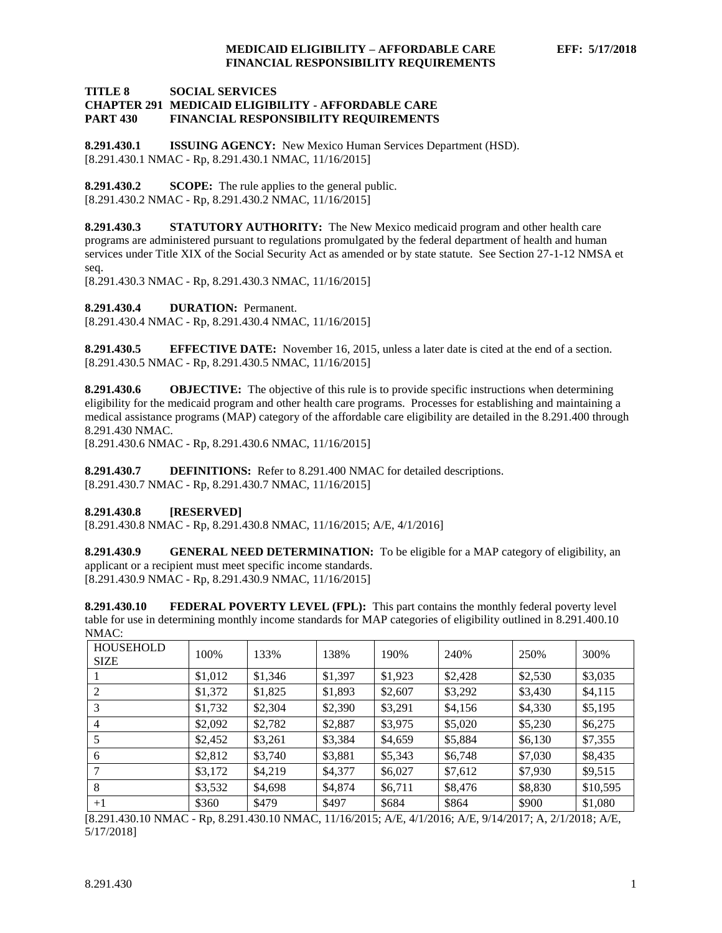**TITLE 8 SOCIAL SERVICES**

#### **CHAPTER 291 MEDICAID ELIGIBILITY - AFFORDABLE CARE PART 430 FINANCIAL RESPONSIBILITY REQUIREMENTS**

<span id="page-1-0"></span>**8.291.430.1 ISSUING AGENCY:** New Mexico Human Services Department (HSD). [8.291.430.1 NMAC - Rp, 8.291.430.1 NMAC, 11/16/2015]

<span id="page-1-1"></span>**8.291.430.2 SCOPE:** The rule applies to the general public. [8.291.430.2 NMAC - Rp, 8.291.430.2 NMAC, 11/16/2015]

<span id="page-1-2"></span>**8.291.430.3 STATUTORY AUTHORITY:** The New Mexico medicaid program and other health care programs are administered pursuant to regulations promulgated by the federal department of health and human services under Title XIX of the Social Security Act as amended or by state statute. See Section 27-1-12 NMSA et seq.

[8.291.430.3 NMAC - Rp, 8.291.430.3 NMAC, 11/16/2015]

<span id="page-1-3"></span>**8.291.430.4 DURATION:** Permanent.

[8.291.430.4 NMAC - Rp, 8.291.430.4 NMAC, 11/16/2015]

<span id="page-1-4"></span>**8.291.430.5 EFFECTIVE DATE:** November 16, 2015, unless a later date is cited at the end of a section. [8.291.430.5 NMAC - Rp, 8.291.430.5 NMAC, 11/16/2015]

<span id="page-1-5"></span>**8.291.430.6 OBJECTIVE:** The objective of this rule is to provide specific instructions when determining eligibility for the medicaid program and other health care programs. Processes for establishing and maintaining a medical assistance programs (MAP) category of the affordable care eligibility are detailed in the 8.291.400 through 8.291.430 NMAC.

[8.291.430.6 NMAC - Rp, 8.291.430.6 NMAC, 11/16/2015]

<span id="page-1-6"></span>**8.291.430.7 DEFINITIONS:** Refer to 8.291.400 NMAC for detailed descriptions. [8.291.430.7 NMAC - Rp, 8.291.430.7 NMAC, 11/16/2015]

## <span id="page-1-7"></span>**8.291.430.8 [RESERVED]**

[8.291.430.8 NMAC - Rp, 8.291.430.8 NMAC, 11/16/2015; A/E, 4/1/2016]

<span id="page-1-8"></span>**8.291.430.9 GENERAL NEED DETERMINATION:** To be eligible for a MAP category of eligibility, an applicant or a recipient must meet specific income standards. [8.291.430.9 NMAC - Rp, 8.291.430.9 NMAC, 11/16/2015]

<span id="page-1-9"></span>**8.291.430.10 FEDERAL POVERTY LEVEL (FPL):** This part contains the monthly federal poverty level table for use in determining monthly income standards for MAP categories of eligibility outlined in 8.291.400.10  $NMAC$ 

| <b>HOUSEHOLD</b><br><b>SIZE</b> | 100%    | 133%    | 138%    | 190%    | 240%    | 250%    | 300%     |
|---------------------------------|---------|---------|---------|---------|---------|---------|----------|
|                                 | \$1,012 | \$1,346 | \$1,397 | \$1,923 | \$2,428 | \$2,530 | \$3,035  |
| $\overline{2}$                  | \$1,372 | \$1,825 | \$1,893 | \$2,607 | \$3,292 | \$3,430 | \$4,115  |
| 3                               | \$1,732 | \$2,304 | \$2,390 | \$3,291 | \$4,156 | \$4,330 | \$5,195  |
| 4                               | \$2,092 | \$2,782 | \$2,887 | \$3,975 | \$5,020 | \$5,230 | \$6,275  |
| 5                               | \$2,452 | \$3,261 | \$3,384 | \$4,659 | \$5,884 | \$6,130 | \$7,355  |
| 6                               | \$2,812 | \$3,740 | \$3,881 | \$5,343 | \$6,748 | \$7,030 | \$8,435  |
|                                 | \$3,172 | \$4,219 | \$4,377 | \$6,027 | \$7,612 | \$7,930 | \$9,515  |
| 8                               | \$3,532 | \$4,698 | \$4,874 | \$6,711 | \$8,476 | \$8,830 | \$10,595 |
| $+1$                            | \$360   | \$479   | \$497   | \$684   | \$864   | \$900   | \$1,080  |

[8.291.430.10 NMAC - Rp, 8.291.430.10 NMAC, 11/16/2015; A/E, 4/1/2016; A/E, 9/14/2017; A, 2/1/2018; A/E, 5/17/2018]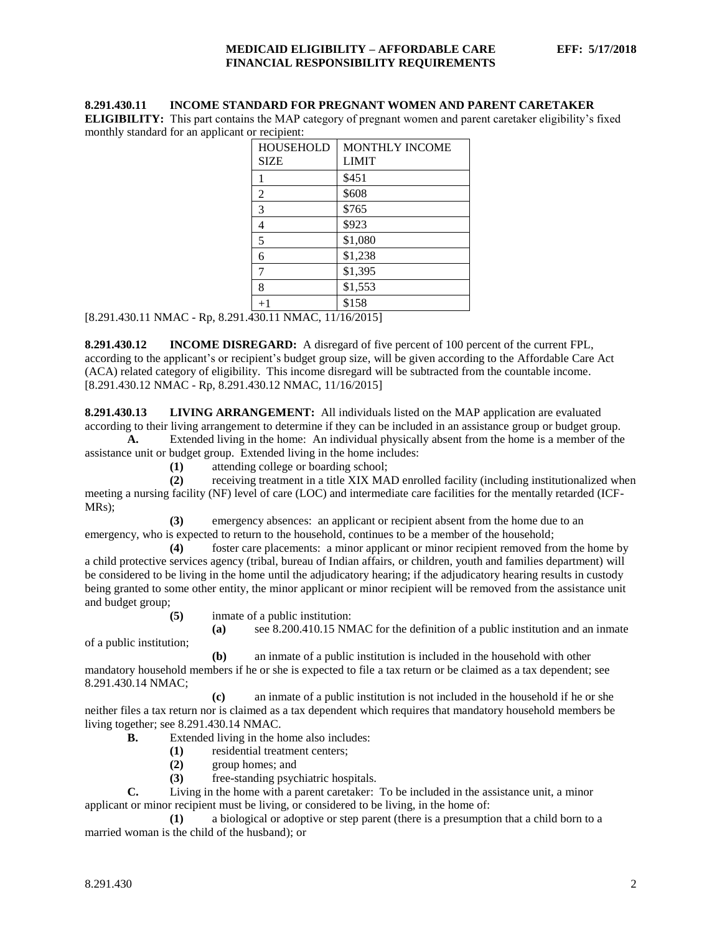#### <span id="page-2-0"></span>**8.291.430.11 INCOME STANDARD FOR PREGNANT WOMEN AND PARENT CARETAKER**

**ELIGIBILITY:** This part contains the MAP category of pregnant women and parent caretaker eligibility's fixed monthly standard for an applicant or recipient:

| <b>HOUSEHOLD</b> | <b>MONTHLY INCOME</b> |  |  |  |
|------------------|-----------------------|--|--|--|
| <b>SIZE</b>      | <b>LIMIT</b>          |  |  |  |
|                  | \$451                 |  |  |  |
| $\overline{2}$   | \$608                 |  |  |  |
| $\overline{3}$   | \$765                 |  |  |  |
| 4                | \$923                 |  |  |  |
| 5                | \$1,080               |  |  |  |
| 6                | \$1,238               |  |  |  |
| $\mathcal{I}$    | \$1,395               |  |  |  |
| 8                | \$1,553               |  |  |  |
| $+1$             | \$158                 |  |  |  |
|                  |                       |  |  |  |

[8.291.430.11 NMAC - Rp, 8.291.430.11 NMAC, 11/16/2015]

<span id="page-2-1"></span>**8.291.430.12 INCOME DISREGARD:** A disregard of five percent of 100 percent of the current FPL, according to the applicant's or recipient's budget group size, will be given according to the Affordable Care Act (ACA) related category of eligibility. This income disregard will be subtracted from the countable income. [8.291.430.12 NMAC - Rp, 8.291.430.12 NMAC, 11/16/2015]

<span id="page-2-2"></span>**8.291.430.13 LIVING ARRANGEMENT:** All individuals listed on the MAP application are evaluated according to their living arrangement to determine if they can be included in an assistance group or budget group.

**A.** Extended living in the home: An individual physically absent from the home is a member of the assistance unit or budget group. Extended living in the home includes:

**(1)** attending college or boarding school;

**(2)** receiving treatment in a title XIX MAD enrolled facility (including institutionalized when meeting a nursing facility (NF) level of care (LOC) and intermediate care facilities for the mentally retarded (ICF-MRs);

**(3)** emergency absences: an applicant or recipient absent from the home due to an emergency, who is expected to return to the household, continues to be a member of the household;

**(4)** foster care placements: a minor applicant or minor recipient removed from the home by a child protective services agency (tribal, bureau of Indian affairs, or children, youth and families department) will be considered to be living in the home until the adjudicatory hearing; if the adjudicatory hearing results in custody being granted to some other entity, the minor applicant or minor recipient will be removed from the assistance unit and budget group;

**(5)** inmate of a public institution:

**(a)** see 8.200.410.15 NMAC for the definition of a public institution and an inmate

of a public institution;

**(b)** an inmate of a public institution is included in the household with other mandatory household members if he or she is expected to file a tax return or be claimed as a tax dependent; see 8.291.430.14 NMAC;

**(c)** an inmate of a public institution is not included in the household if he or she neither files a tax return nor is claimed as a tax dependent which requires that mandatory household members be living together; see 8.291.430.14 NMAC.

**B.** Extended living in the home also includes:

- **(1)** residential treatment centers;
- **(2)** group homes; and
- **(3)** free-standing psychiatric hospitals.

**C.** Living in the home with a parent caretaker: To be included in the assistance unit, a minor applicant or minor recipient must be living, or considered to be living, in the home of:

**(1)** a biological or adoptive or step parent (there is a presumption that a child born to a married woman is the child of the husband); or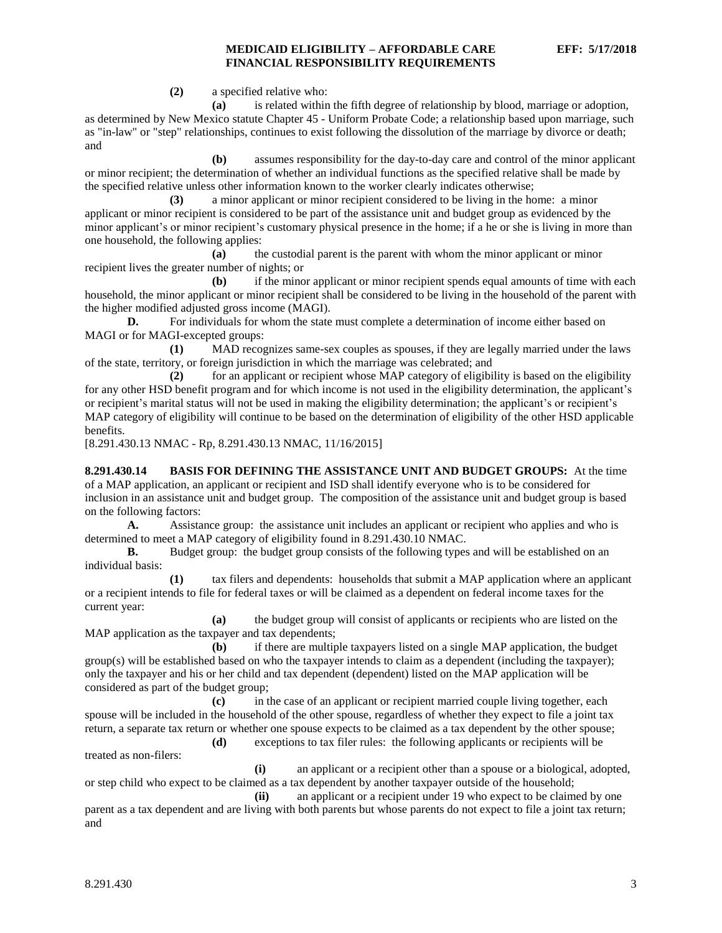**(2)** a specified relative who:

**(a)** is related within the fifth degree of relationship by blood, marriage or adoption, as determined by New Mexico statute Chapter 45 - Uniform Probate Code; a relationship based upon marriage, such as "in-law" or "step" relationships, continues to exist following the dissolution of the marriage by divorce or death; and

**(b)** assumes responsibility for the day-to-day care and control of the minor applicant or minor recipient; the determination of whether an individual functions as the specified relative shall be made by the specified relative unless other information known to the worker clearly indicates otherwise;

**(3)** a minor applicant or minor recipient considered to be living in the home: a minor applicant or minor recipient is considered to be part of the assistance unit and budget group as evidenced by the minor applicant's or minor recipient's customary physical presence in the home; if a he or she is living in more than one household, the following applies:

**(a)** the custodial parent is the parent with whom the minor applicant or minor recipient lives the greater number of nights; or

**(b)** if the minor applicant or minor recipient spends equal amounts of time with each household, the minor applicant or minor recipient shall be considered to be living in the household of the parent with the higher modified adjusted gross income (MAGI).

**D.** For individuals for whom the state must complete a determination of income either based on MAGI or for MAGI-excepted groups:

**(1)** MAD recognizes same-sex couples as spouses, if they are legally married under the laws of the state, territory, or foreign jurisdiction in which the marriage was celebrated; and

**(2)** for an applicant or recipient whose MAP category of eligibility is based on the eligibility for any other HSD benefit program and for which income is not used in the eligibility determination, the applicant's or recipient's marital status will not be used in making the eligibility determination; the applicant's or recipient's MAP category of eligibility will continue to be based on the determination of eligibility of the other HSD applicable benefits.

[8.291.430.13 NMAC - Rp, 8.291.430.13 NMAC, 11/16/2015]

<span id="page-3-0"></span>**8.291.430.14 BASIS FOR DEFINING THE ASSISTANCE UNIT AND BUDGET GROUPS:** At the time of a MAP application, an applicant or recipient and ISD shall identify everyone who is to be considered for inclusion in an assistance unit and budget group. The composition of the assistance unit and budget group is based on the following factors:

**A.** Assistance group: the assistance unit includes an applicant or recipient who applies and who is determined to meet a MAP category of eligibility found in 8.291.430.10 NMAC.

**B.** Budget group: the budget group consists of the following types and will be established on an individual basis:

**(1)** tax filers and dependents: households that submit a MAP application where an applicant or a recipient intends to file for federal taxes or will be claimed as a dependent on federal income taxes for the current year:

**(a)** the budget group will consist of applicants or recipients who are listed on the MAP application as the taxpayer and tax dependents;

**(b)** if there are multiple taxpayers listed on a single MAP application, the budget group(s) will be established based on who the taxpayer intends to claim as a dependent (including the taxpayer); only the taxpayer and his or her child and tax dependent (dependent) listed on the MAP application will be considered as part of the budget group;

**(c)** in the case of an applicant or recipient married couple living together, each spouse will be included in the household of the other spouse, regardless of whether they expect to file a joint tax return, a separate tax return or whether one spouse expects to be claimed as a tax dependent by the other spouse;

**(d)** exceptions to tax filer rules: the following applicants or recipients will be

**(i)** an applicant or a recipient other than a spouse or a biological, adopted, or step child who expect to be claimed as a tax dependent by another taxpayer outside of the household;

**(ii)** an applicant or a recipient under 19 who expect to be claimed by one parent as a tax dependent and are living with both parents but whose parents do not expect to file a joint tax return; and

treated as non-filers: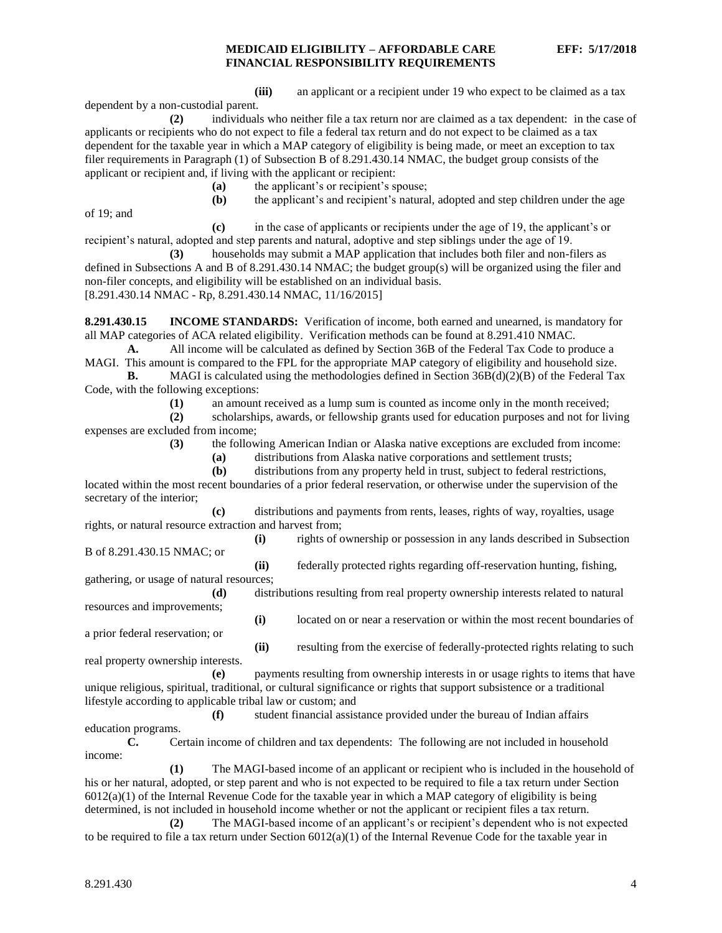**(iii)** an applicant or a recipient under 19 who expect to be claimed as a tax dependent by a non-custodial parent.

**(2)** individuals who neither file a tax return nor are claimed as a tax dependent: in the case of applicants or recipients who do not expect to file a federal tax return and do not expect to be claimed as a tax dependent for the taxable year in which a MAP category of eligibility is being made, or meet an exception to tax filer requirements in Paragraph (1) of Subsection B of 8.291.430.14 NMAC, the budget group consists of the applicant or recipient and, if living with the applicant or recipient:

**(a)** the applicant's or recipient's spouse;

**(b)** the applicant's and recipient's natural, adopted and step children under the age

of 19; and

**(c)** in the case of applicants or recipients under the age of 19, the applicant's or recipient's natural, adopted and step parents and natural, adoptive and step siblings under the age of 19.

**(3)** households may submit a MAP application that includes both filer and non-filers as defined in Subsections A and B of 8.291.430.14 NMAC; the budget group(s) will be organized using the filer and non-filer concepts, and eligibility will be established on an individual basis. [8.291.430.14 NMAC - Rp, 8.291.430.14 NMAC, 11/16/2015]

<span id="page-4-0"></span>**8.291.430.15 INCOME STANDARDS:** Verification of income, both earned and unearned, is mandatory for all MAP categories of ACA related eligibility. Verification methods can be found at 8.291.410 NMAC.

**A.** All income will be calculated as defined by Section 36B of the Federal Tax Code to produce a MAGI. This amount is compared to the FPL for the appropriate MAP category of eligibility and household size.

**B.** MAGI is calculated using the methodologies defined in Section 36B(d)(2)(B) of the Federal Tax Code, with the following exceptions:

**(1)** an amount received as a lump sum is counted as income only in the month received;

**(2)** scholarships, awards, or fellowship grants used for education purposes and not for living expenses are excluded from income;

**(3)** the following American Indian or Alaska native exceptions are excluded from income:

**(a)** distributions from Alaska native corporations and settlement trusts;

**(b)** distributions from any property held in trust, subject to federal restrictions,

located within the most recent boundaries of a prior federal reservation, or otherwise under the supervision of the secretary of the interior;

**(c)** distributions and payments from rents, leases, rights of way, royalties, usage rights, or natural resource extraction and harvest from;

**(i)** rights of ownership or possession in any lands described in Subsection B of 8.291.430.15 NMAC; or

**(ii)** federally protected rights regarding off-reservation hunting, fishing, gathering, or usage of natural resources;

**(d)** distributions resulting from real property ownership interests related to natural resources and improvements;

**(i)** located on or near a reservation or within the most recent boundaries of a prior federal reservation; or

real property ownership interests.

**(ii)** resulting from the exercise of federally-protected rights relating to such

**(e)** payments resulting from ownership interests in or usage rights to items that have unique religious, spiritual, traditional, or cultural significance or rights that support subsistence or a traditional lifestyle according to applicable tribal law or custom; and

**(f)** student financial assistance provided under the bureau of Indian affairs education programs.

**C.** Certain income of children and tax dependents: The following are not included in household income:

**(1)** The MAGI-based income of an applicant or recipient who is included in the household of his or her natural, adopted, or step parent and who is not expected to be required to file a tax return under Section  $6012(a)(1)$  of the Internal Revenue Code for the taxable year in which a MAP category of eligibility is being determined, is not included in household income whether or not the applicant or recipient files a tax return.

**(2)** The MAGI-based income of an applicant's or recipient's dependent who is not expected to be required to file a tax return under Section  $6012(a)(1)$  of the Internal Revenue Code for the taxable year in